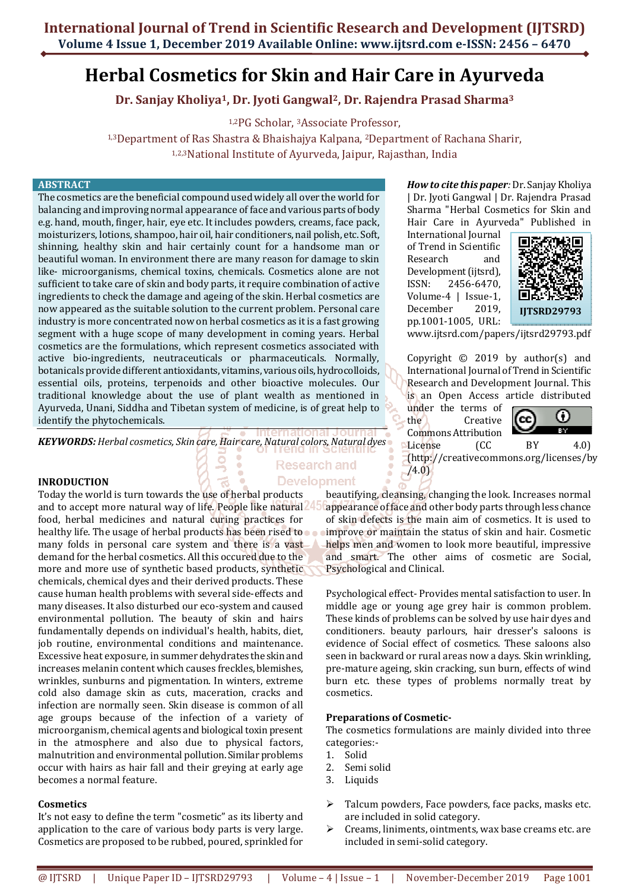# **Herbal Cosmetics for Skin and Hair Care in Ayurveda**

**Dr. Sanjay Kholiya1, Dr. Jyoti Gangwal2, Dr. Rajendra Prasad Sharma<sup>3</sup>**

1,2PG Scholar, 3Associate Professor,

1,3Department of Ras Shastra & Bhaishajya Kalpana, 2Department of Rachana Sharir, 1,2,3National Institute of Ayurveda, Jaipur, Rajasthan, India

#### **ABSTRACT**

The cosmetics are the beneficial compound used widely all over the world for balancing and improving normal appearance of face and various parts of body e.g. hand, mouth, finger, hair, eye etc. It includes powders, creams, face pack, moisturizers, lotions, shampoo, hair oil, hair conditioners, nail polish, etc. Soft, shinning, healthy skin and hair certainly count for a handsome man or beautiful woman. In environment there are many reason for damage to skin like- microorganisms, chemical toxins, chemicals. Cosmetics alone are not sufficient to take care of skin and body parts, it require combination of active ingredients to check the damage and ageing of the skin. Herbal cosmetics are now appeared as the suitable solution to the current problem. Personal care industry is more concentrated now on herbal cosmetics as it is a fast growing segment with a huge scope of many development in coming years. Herbal cosmetics are the formulations, which represent cosmetics associated with active bio-ingredients, neutraceuticals or pharmaceuticals. Normally, botanicals provide different antioxidants, vitamins, various oils, hydrocolloids, essential oils, proteins, terpenoids and other bioactive molecules. Our traditional knowledge about the use of plant wealth as mentioned in Ayurveda, Unani, Siddha and Tibetan system of medicine, is of great help to identify the phytochemicals.

*KEYWORDS: Herbal cosmetics, Skin care, Hair care, Natural colors, Natural dyes*

#### **INRODUCTION**

Today the world is turn towards the use of herbal products and to accept more natural way of life. People like natural food, herbal medicines and natural curing practices for healthy life. The usage of herbal products has been rised to  $\bullet$ many folds in personal care system and there is a vast demand for the herbal cosmetics. All this occured due to the more and more use of synthetic based products, synthetic chemicals, chemical dyes and their derived products. These cause human health problems with several side-effects and many diseases. It also disturbed our eco-system and caused environmental pollution. The beauty of skin and hairs fundamentally depends on individual's health, habits, diet, job routine, environmental conditions and maintenance. Excessive heat exposure, in summer dehydrates the skin and increases melanin content which causes freckles, blemishes, wrinkles, sunburns and pigmentation. In winters, extreme cold also damage skin as cuts, maceration, cracks and infection are normally seen. Skin disease is common of all age groups because of the infection of a variety of microorganism, chemical agents and biological toxin present in the atmosphere and also due to physical factors, malnutrition and environmental pollution. Similar problems occur with hairs as hair fall and their greying at early age becomes a normal feature.

#### **Cosmetics**

It's not easy to define the term "cosmetic" as its liberty and application to the care of various body parts is very large. Cosmetics are proposed to be rubbed, poured, sprinkled for

# **Research and Development**

*How to cite this paper:* Dr. Sanjay Kholiya | Dr. Jyoti Gangwal | Dr. Rajendra Prasad Sharma "Herbal Cosmetics for Skin and Hair Care in Ayurveda" Published in

International Journal of Trend in Scientific Research and Development (ijtsrd), ISSN: 2456-6470, Volume-4 | Issue-1, December 2019, pp.1001-1005, URL:



www.ijtsrd.com/papers/ijtsrd29793.pdf

Copyright  $\odot$  2019 by author(s) and International Journal of Trend in Scientific Research and Development Journal. This is an Open Access article distributed

under the terms of the Creative Commons Attribution



License (CC BY 4.0) (http://creativecommons.org/licenses/by /4.0)

beautifying, cleansing, changing the look. Increases normal appearance of face and other body parts through less chance of skin defects is the main aim of cosmetics. It is used to improve or maintain the status of skin and hair. Cosmetic helps men and women to look more beautiful, impressive and smart. The other aims of cosmetic are Social, Psychological and Clinical.

Psychological effect- Provides mental satisfaction to user. In middle age or young age grey hair is common problem. These kinds of problems can be solved by use hair dyes and conditioners. beauty parlours, hair dresser's saloons is evidence of Social effect of cosmetics. These saloons also seen in backward or rural areas now a days. Skin wrinkling, pre-mature ageing, skin cracking, sun burn, effects of wind burn etc. these types of problems normally treat by cosmetics.

#### **Preparations of Cosmetic-**

The cosmetics formulations are mainly divided into three categories:-

- 1. Solid
- 2. Semi solid
- 3. Liquids
- $\triangleright$  Talcum powders, Face powders, face packs, masks etc. are included in solid category.
- $\triangleright$  Creams, liniments, ointments, wax base creams etc. are included in semi-solid category.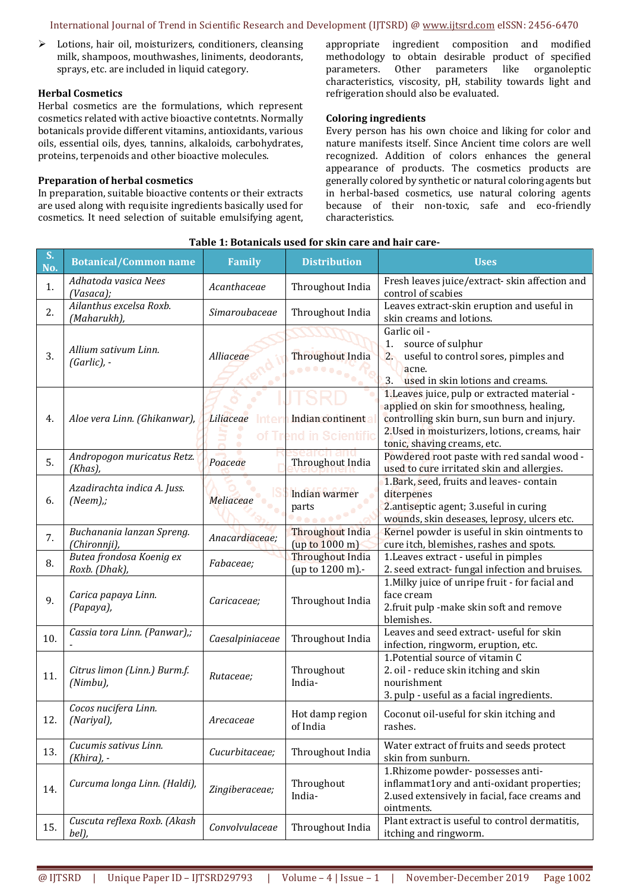#### International Journal of Trend in Scientific Research and Development (IJTSRD) @ www.ijtsrd.com eISSN: 2456-6470

 $\triangleright$  Lotions, hair oil, moisturizers, conditioners, cleansing milk, shampoos, mouthwashes, liniments, deodorants, sprays, etc. are included in liquid category.

#### **Herbal Cosmetics**

Herbal cosmetics are the formulations, which represent cosmetics related with active bioactive contetnts. Normally botanicals provide different vitamins, antioxidants, various oils, essential oils, dyes, tannins, alkaloids, carbohydrates, proteins, terpenoids and other bioactive molecules.

## **Preparation of herbal cosmetics**

In preparation, suitable bioactive contents or their extracts are used along with requisite ingredients basically used for cosmetics. It need selection of suitable emulsifying agent,

appropriate ingredient composition and modified methodology to obtain desirable product of specified parameters. Other parameters like organoleptic characteristics, viscosity, pH, stability towards light and refrigeration should also be evaluated.

## **Coloring ingredients**

Every person has his own choice and liking for color and nature manifests itself. Since Ancient time colors are well recognized. Addition of colors enhances the general appearance of products. The cosmetics products are generally colored by synthetic or natural coloring agents but in herbal-based cosmetics, use natural coloring agents because of their non-toxic, safe and eco-friendly characteristics.

| S.<br>No. | <b>Botanical/Common name</b>                | <b>Family</b>       | <b>Distribution</b>                       | <b>Uses</b>                                                                                                                                                                                                               |  |
|-----------|---------------------------------------------|---------------------|-------------------------------------------|---------------------------------------------------------------------------------------------------------------------------------------------------------------------------------------------------------------------------|--|
| 1.        | Adhatoda vasica Nees<br>(Vasaca);           | Acanthaceae         | Throughout India                          | Fresh leaves juice/extract-skin affection and<br>control of scabies                                                                                                                                                       |  |
| 2.        | Ailanthus excelsa Roxb.<br>(Maharukh),      | Simaroubaceae       | Throughout India                          | Leaves extract-skin eruption and useful in<br>skin creams and lotions.                                                                                                                                                    |  |
| 3.        | Allium sativum Linn.<br>$(Garlic)$ , -      | Alliaceae           | Throughout India                          | Garlic oil -<br>source of sulphur<br>1.<br>useful to control sores, pimples and<br>2.<br>acne.<br>3.<br>used in skin lotions and creams.                                                                                  |  |
| 4.        | Aloe vera Linn. (Ghikanwar),                | Liliaceae<br>or i r | Indian continent<br>end in Scientific     | 1. Leaves juice, pulp or extracted material -<br>applied on skin for smoothness, healing,<br>controlling skin burn, sun burn and injury.<br>2. Used in moisturizers, lotions, creams, hair<br>tonic, shaving creams, etc. |  |
| 5.        | Andropogon muricatus Retz.<br>(Khas),       | Poaceae             | <b>Throughout India</b>                   | Powdered root paste with red sandal wood -<br>used to cure irritated skin and allergies.                                                                                                                                  |  |
| 6.        | Azadirachta indica A. Juss.<br>$(Neem)$ .;  | Meliaceae           | Indian warmer<br>parts<br><u></u>         | 1. Bark, seed, fruits and leaves-contain<br>diterpenes<br>2.antiseptic agent; 3.useful in curing<br>wounds, skin deseases, leprosy, ulcers etc.                                                                           |  |
| 7.        | Buchanania lanzan Spreng.<br>(Chironnji),   | Anacardiaceae;      | <b>Throughout India</b><br>(up to 1000 m) | Kernel powder is useful in skin ointments to<br>cure itch, blemishes, rashes and spots.                                                                                                                                   |  |
| 8.        | Butea frondosa Koenig ex<br>Roxb. (Dhak),   | Fabaceae;           | Throughout India<br>(up to 1200 m).-      | 1. Leaves extract - useful in pimples<br>2. seed extract-fungal infection and bruises.                                                                                                                                    |  |
| 9.        | Carica papaya Linn.<br>(Papaya),            | Caricaceae;         | Throughout India                          | 1. Milky juice of unripe fruit - for facial and<br>face cream<br>2.fruit pulp -make skin soft and remove<br>blemishes.                                                                                                    |  |
| 10.       | Cassia tora Linn. (Panwar),;                | Caesalpiniaceae     | Throughout India                          | Leaves and seed extract-useful for skin<br>infection, ringworm, eruption, etc.                                                                                                                                            |  |
| 11.       | Citrus limon (Linn.) Burm.f.<br>$(Nimbu)$ , | Rutaceae;           | Throughout<br>India-                      | 1. Potential source of vitamin C<br>2. oil - reduce skin itching and skin<br>nourishment<br>3. pulp - useful as a facial ingredients.                                                                                     |  |
| 12.       | Cocos nucifera Linn.<br>(Nariyal),          | Arecaceae           | Hot damp region<br>of India               | Coconut oil-useful for skin itching and<br>rashes.                                                                                                                                                                        |  |
| 13.       | Cucumis sativus Linn.<br>(Khira), -         | Cucurbitaceae;      | Throughout India                          | Water extract of fruits and seeds protect<br>skin from sunburn.                                                                                                                                                           |  |
| 14.       | Curcuma longa Linn. (Haldi),                | Zingiberaceae;      | Throughout<br>India-                      | 1.Rhizome powder- possesses anti-<br>inflammat1ory and anti-oxidant properties;<br>2.used extensively in facial, face creams and<br>ointments.                                                                            |  |
| 15.       | Cuscuta reflexa Roxb. (Akash<br>bel),       | Convolvulaceae      | Throughout India                          | Plant extract is useful to control dermatitis,<br>itching and ringworm.                                                                                                                                                   |  |

#### **Table 1: Botanicals used for skin care and hair care-**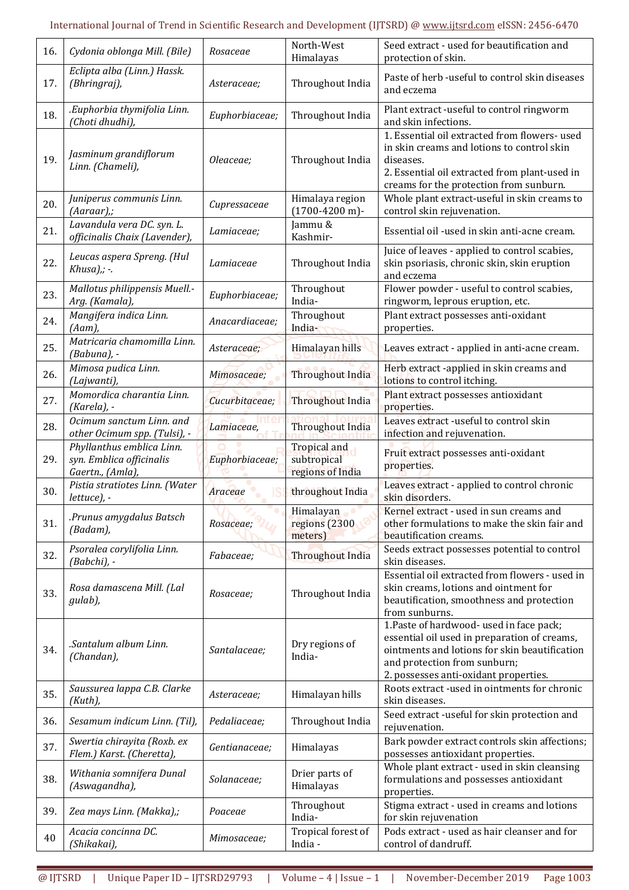# International Journal of Trend in Scientific Research and Development (IJTSRD) @ www.ijtsrd.com eISSN: 2456-6470

| 16. | Cydonia oblonga Mill. (Bile)                                              | Rosaceae       | North-West<br>Himalayas                         | Seed extract - used for beautification and<br>protection of skin.                                                                                                                                                  |  |
|-----|---------------------------------------------------------------------------|----------------|-------------------------------------------------|--------------------------------------------------------------------------------------------------------------------------------------------------------------------------------------------------------------------|--|
| 17. | Eclipta alba (Linn.) Hassk.<br>(Bhringraj),                               | Asteraceae;    | Throughout India                                | Paste of herb -useful to control skin diseases<br>and eczema                                                                                                                                                       |  |
| 18. | .Euphorbia thymifolia Linn.<br>(Choti dhudhi),                            | Euphorbiaceae; | Throughout India                                | Plant extract -useful to control ringworm<br>and skin infections.                                                                                                                                                  |  |
| 19. | Jasminum grandiflorum<br>Linn. (Chameli),                                 | Oleaceae;      | Throughout India                                | 1. Essential oil extracted from flowers- used<br>in skin creams and lotions to control skin<br>diseases.<br>2. Essential oil extracted from plant-used in<br>creams for the protection from sunburn.               |  |
| 20. | Juniperus communis Linn.<br>(Aaraar),;                                    | Cupressaceae   | Himalaya region<br>$(1700-4200 \text{ m})$ -    | Whole plant extract-useful in skin creams to<br>control skin rejuvenation.                                                                                                                                         |  |
| 21. | Lavandula vera DC. syn. L.<br>officinalis Chaix (Lavender),               | Lamiaceae;     | Jammu &<br>Kashmir-                             | Essential oil -used in skin anti-acne cream.                                                                                                                                                                       |  |
| 22. | Leucas aspera Spreng. (Hul<br>$Khusa),; -$                                | Lamiaceae      | Throughout India                                | Juice of leaves - applied to control scabies,<br>skin psoriasis, chronic skin, skin eruption<br>and eczema                                                                                                         |  |
| 23. | Mallotus philippensis Muell.-<br>Arg. (Kamala),                           | Euphorbiaceae; | Throughout<br>India-                            | Flower powder - useful to control scabies,<br>ringworm, leprous eruption, etc.                                                                                                                                     |  |
| 24. | Mangifera indica Linn.<br>(Aam),                                          | Anacardiaceae; | Throughout<br>India-                            | Plant extract possesses anti-oxidant<br>properties.                                                                                                                                                                |  |
| 25. | Matricaria chamomilla Linn.<br>(Babuna), -                                | Asteraceae;    | Himalayan hills                                 | Leaves extract - applied in anti-acne cream.                                                                                                                                                                       |  |
| 26. | Mimosa pudica Linn.<br>(Lajwanti),                                        | Mimosaceae;    | Throughout India                                | Herb extract -applied in skin creams and<br>lotions to control itching.                                                                                                                                            |  |
| 27. | Momordica charantia Linn.<br>(Karela), -                                  | Cucurbitaceae; | Throughout India                                | Plant extract possesses antioxidant<br>properties.                                                                                                                                                                 |  |
| 28. | Ocimum sanctum Linn. and<br>other Ocimum spp. (Tulsi), -                  | Lamiaceae,     | Throughout India                                | Leaves extract -useful to control skin<br>infection and rejuvenation.                                                                                                                                              |  |
| 29. | Phyllanthus emblica Linn.<br>syn. Emblica officinalis<br>Gaertn., (Amla), | Euphorbiaceae; | Tropical and<br>subtropical<br>regions of India | Fruit extract possesses anti-oxidant<br>properties.                                                                                                                                                                |  |
| 30. | Pistia stratiotes Linn. (Water<br>lettuce), -                             | Araceae        | throughout India                                | Leaves extract - applied to control chronic<br>skin disorders.                                                                                                                                                     |  |
| 31. | Prunus amygdalus Batsch.<br>(Badam),                                      | Rosaceae;      | Himalayan<br>regions (2300<br>meters)           | Kernel extract - used in sun creams and<br>other formulations to make the skin fair and<br>beautification creams.                                                                                                  |  |
| 32. | Psoralea corylifolia Linn.<br>(Babchi), -                                 | Fabaceae;      | <b>Throughout India</b>                         | Seeds extract possesses potential to control<br>skin diseases.                                                                                                                                                     |  |
| 33. | Rosa damascena Mill. (Lal<br>gulab),                                      | Rosaceae;      | Throughout India                                | Essential oil extracted from flowers - used in<br>skin creams, lotions and ointment for<br>beautification, smoothness and protection<br>from sunburns.                                                             |  |
| 34. | .Santalum album Linn.<br>(Chandan),                                       | Santalaceae;   | Dry regions of<br>India-                        | 1. Paste of hardwood- used in face pack;<br>essential oil used in preparation of creams,<br>ointments and lotions for skin beautification<br>and protection from sunburn;<br>2. possesses anti-oxidant properties. |  |
| 35. | Saussurea lappa C.B. Clarke<br>(Kuth),                                    | Asteraceae;    | Himalayan hills                                 | Roots extract -used in ointments for chronic<br>skin diseases.                                                                                                                                                     |  |
| 36. | Sesamum indicum Linn. (Til),                                              | Pedaliaceae;   | Throughout India                                | Seed extract -useful for skin protection and<br>rejuvenation.                                                                                                                                                      |  |
| 37. | Swertia chirayita (Roxb. ex<br>Flem.) Karst. (Cheretta),                  | Gentianaceae;  | Himalayas                                       | Bark powder extract controls skin affections;<br>possesses antioxidant properties.                                                                                                                                 |  |
| 38. | Withania somnifera Dunal<br>(Aswagandha),                                 | Solanaceae;    | Drier parts of<br>Himalayas                     | Whole plant extract - used in skin cleansing<br>formulations and possesses antioxidant<br>properties.                                                                                                              |  |
| 39. | Zea mays Linn. (Makka),;                                                  | Poaceae        | Throughout<br>India-                            | Stigma extract - used in creams and lotions<br>for skin rejuvenation                                                                                                                                               |  |
| 40  | Acacia concinna DC.<br>(Shikakai),                                        | Mimosaceae;    | Tropical forest of<br>India -                   | Pods extract - used as hair cleanser and for<br>control of dandruff.                                                                                                                                               |  |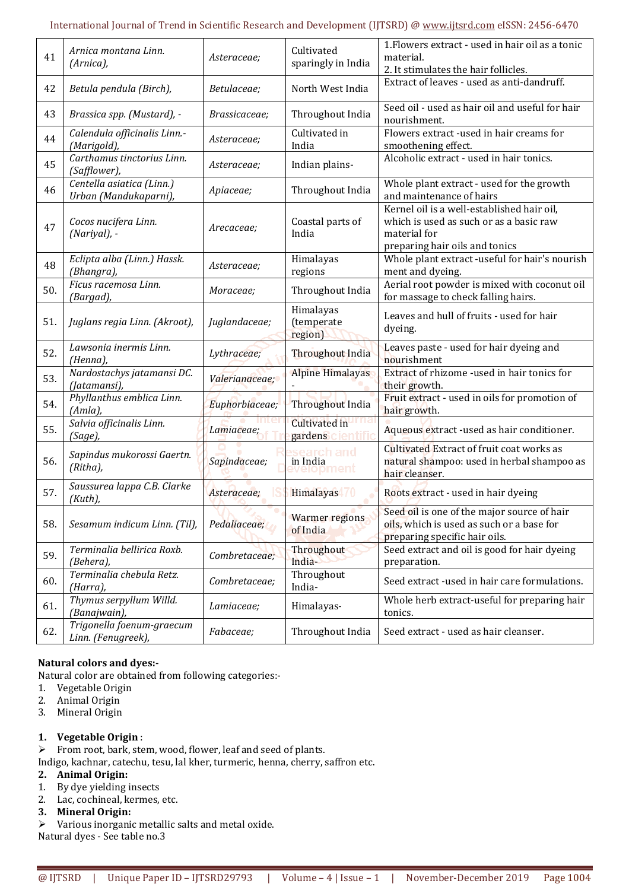| 41  | Arnica montana Linn.<br>(Arnica),                  | Asteraceae;    | Cultivated<br>sparingly in India   | 1. Flowers extract - used in hair oil as a tonic<br>material.<br>2. It stimulates the hair follicles.                                   |
|-----|----------------------------------------------------|----------------|------------------------------------|-----------------------------------------------------------------------------------------------------------------------------------------|
| 42  | Betula pendula (Birch),                            | Betulaceae;    | North West India                   | Extract of leaves - used as anti-dandruff.                                                                                              |
| 43  | Brassica spp. (Mustard), -                         | Brassicaceae;  | Throughout India                   | Seed oil - used as hair oil and useful for hair<br>nourishment.                                                                         |
| 44  | Calendula officinalis Linn.-<br>(Marigold),        | Asteraceae;    | Cultivated in<br>India             | Flowers extract -used in hair creams for<br>smoothening effect.                                                                         |
| 45  | Carthamus tinctorius Linn.<br>(Safflower),         | Asteraceae;    | Indian plains-                     | Alcoholic extract - used in hair tonics.                                                                                                |
| 46  | Centella asiatica (Linn.)<br>Urban (Mandukaparni), | Apiaceae;      | Throughout India                   | Whole plant extract - used for the growth<br>and maintenance of hairs                                                                   |
| 47  | Cocos nucifera Linn.<br>(Nariyal), -               | Arecaceae;     | Coastal parts of<br>India          | Kernel oil is a well-established hair oil,<br>which is used as such or as a basic raw<br>material for<br>preparing hair oils and tonics |
| 48  | Eclipta alba (Linn.) Hassk.<br>(Bhangra),          | Asteraceae;    | Himalayas<br>regions               | Whole plant extract -useful for hair's nourish<br>ment and dyeing.                                                                      |
| 50. | Ficus racemosa Linn.<br>(Bargad),                  | Moraceae;      | Throughout India                   | Aerial root powder is mixed with coconut oil<br>for massage to check falling hairs.                                                     |
| 51. | Juglans regia Linn. (Akroot),                      | Juglandaceae;  | Himalayas<br>(temperate<br>region) | Leaves and hull of fruits - used for hair<br>dyeing.                                                                                    |
| 52. | Lawsonia inermis Linn.<br>(Henna),                 | Lythraceae;    | Throughout India                   | Leaves paste - used for hair dyeing and<br>nourishment                                                                                  |
| 53. | Nardostachys jatamansi DC.<br>(Jatamansi),         | Valerianaceae; | <b>Alpine Himalayas</b>            | Extract of rhizome -used in hair tonics for<br>their growth.                                                                            |
| 54. | Phyllanthus emblica Linn.<br>(Amla),               | Euphorbiaceae; | Throughout India                   | Fruit extract - used in oils for promotion of<br>hair growth.                                                                           |
| 55. | Salvia officinalis Linn.<br>(Sage),                | Lamiaceae;     | Cultivated in<br>gardens           | Aqueous extract -used as hair conditioner.                                                                                              |
| 56. | Sapindus mukorossi Gaertn.<br>(Ritha),             | Sapindaceae;   | search and<br>in India<br>löpment  | Cultivated Extract of fruit coat works as<br>natural shampoo: used in herbal shampoo as<br>hair cleanser.                               |
| 57. | Saussurea lappa C.B. Clarke<br>(Kuth),             | Asteraceae;    | Himalayas <sup>70</sup>            | Roots extract - used in hair dyeing                                                                                                     |
| 58. | Sesamum indicum Linn. (Til),                       | Pedaliaceae;   | <b>Warmer regions</b><br>of India  | Seed oil is one of the major source of hair<br>oils, which is used as such or a base for<br>preparing specific hair oils.               |
| 59. | Terminalia bellirica Roxb.<br>(Behera),            | Combretaceae;  | Throughout<br>India-               | Seed extract and oil is good for hair dyeing<br>preparation.                                                                            |
| 60. | Terminalia chebula Retz.<br>(Harra),               | Combretaceae;  | Throughout<br>India-               | Seed extract -used in hair care formulations.                                                                                           |
| 61. | Thymus serpyllum Willd.<br>(Banajwain),            | Lamiaceae;     | Himalayas-                         | Whole herb extract-useful for preparing hair<br>tonics.                                                                                 |
| 62. | Trigonella foenum-graecum<br>Linn. (Fenugreek),    | Fabaceae;      | Throughout India                   | Seed extract - used as hair cleanser.                                                                                                   |

# **Natural colors and dyes:-**

Natural color are obtained from following categories:-

- 1. Vegetable Origin
- 2. Animal Origin
- 3. Mineral Origin
- **1. Vegetable Origin** :
- $\triangleright$  From root, bark, stem, wood, flower, leaf and seed of plants.
- Indigo, kachnar, catechu, tesu, lal kher, turmeric, henna, cherry, saffron etc.

# **2. Animal Origin:**

- 1. By dye yielding insects
- 2. Lac, cochineal, kermes, etc.
- **3. Mineral Origin:**
- $\triangleright$  Various inorganic metallic salts and metal oxide.

Natural dyes - See table no.3